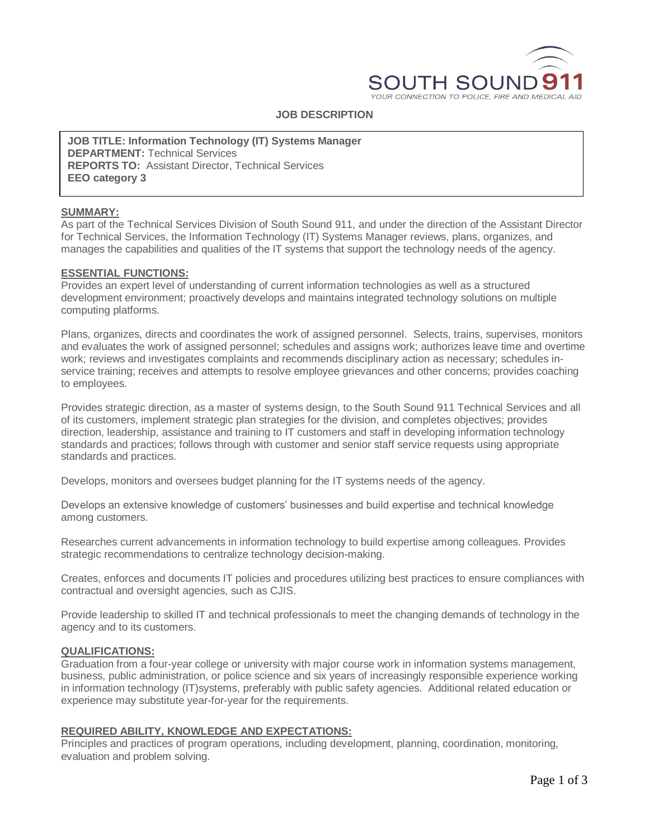

### **JOB DESCRIPTION**

**JOB TITLE: Information Technology (IT) Systems Manager DEPARTMENT:** Technical Services **REPORTS TO:** Assistant Director, Technical Services **EEO category 3**

### **SUMMARY:**

As part of the Technical Services Division of South Sound 911, and under the direction of the Assistant Director for Technical Services, the Information Technology (IT) Systems Manager reviews, plans, organizes, and manages the capabilities and qualities of the IT systems that support the technology needs of the agency.

#### **ESSENTIAL FUNCTIONS:**

Provides an expert level of understanding of current information technologies as well as a structured development environment; proactively develops and maintains integrated technology solutions on multiple computing platforms.

Plans, organizes, directs and coordinates the work of assigned personnel. Selects, trains, supervises, monitors and evaluates the work of assigned personnel; schedules and assigns work; authorizes leave time and overtime work; reviews and investigates complaints and recommends disciplinary action as necessary; schedules inservice training; receives and attempts to resolve employee grievances and other concerns; provides coaching to employees.

Provides strategic direction, as a master of systems design, to the South Sound 911 Technical Services and all of its customers, implement strategic plan strategies for the division, and completes objectives; provides direction, leadership, assistance and training to IT customers and staff in developing information technology standards and practices; follows through with customer and senior staff service requests using appropriate standards and practices.

Develops, monitors and oversees budget planning for the IT systems needs of the agency.

Develops an extensive knowledge of customers' businesses and build expertise and technical knowledge among customers.

Researches current advancements in information technology to build expertise among colleagues. Provides strategic recommendations to centralize technology decision-making.

Creates, enforces and documents IT policies and procedures utilizing best practices to ensure compliances with contractual and oversight agencies, such as CJIS.

Provide leadership to skilled IT and technical professionals to meet the changing demands of technology in the agency and to its customers.

#### **QUALIFICATIONS:**

Graduation from a four-year college or university with major course work in information systems management, business, public administration, or police science and six years of increasingly responsible experience working in information technology (IT)systems, preferably with public safety agencies. Additional related education or experience may substitute year-for-year for the requirements.

## **REQUIRED ABILITY, KNOWLEDGE AND EXPECTATIONS:**

Principles and practices of program operations, including development, planning, coordination, monitoring, evaluation and problem solving.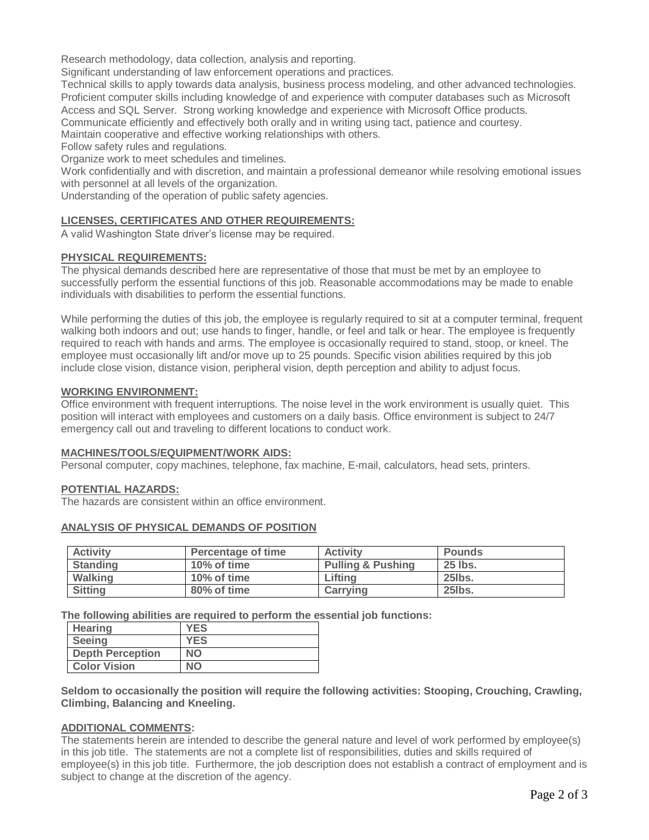Research methodology, data collection, analysis and reporting.

Significant understanding of law enforcement operations and practices.

Technical skills to apply towards data analysis, business process modeling, and other advanced technologies. Proficient computer skills including knowledge of and experience with computer databases such as Microsoft Access and SQL Server. Strong working knowledge and experience with Microsoft Office products. Communicate efficiently and effectively both orally and in writing using tact, patience and courtesy.

Maintain cooperative and effective working relationships with others.

Follow safety rules and regulations.

Organize work to meet schedules and timelines.

Work confidentially and with discretion, and maintain a professional demeanor while resolving emotional issues with personnel at all levels of the organization.

Understanding of the operation of public safety agencies.

# **LICENSES, CERTIFICATES AND OTHER REQUIREMENTS:**

A valid Washington State driver's license may be required.

# **PHYSICAL REQUIREMENTS:**

The physical demands described here are representative of those that must be met by an employee to successfully perform the essential functions of this job. Reasonable accommodations may be made to enable individuals with disabilities to perform the essential functions.

While performing the duties of this job, the employee is regularly required to sit at a computer terminal, frequent walking both indoors and out; use hands to finger, handle, or feel and talk or hear. The employee is frequently required to reach with hands and arms. The employee is occasionally required to stand, stoop, or kneel. The employee must occasionally lift and/or move up to 25 pounds. Specific vision abilities required by this job include close vision, distance vision, peripheral vision, depth perception and ability to adjust focus.

## **WORKING ENVIRONMENT:**

Office environment with frequent interruptions. The noise level in the work environment is usually quiet. This position will interact with employees and customers on a daily basis. Office environment is subject to 24/7 emergency call out and traveling to different locations to conduct work.

## **MACHINES/TOOLS/EQUIPMENT/WORK AIDS:**

Personal computer, copy machines, telephone, fax machine, E-mail, calculators, head sets, printers.

## **POTENTIAL HAZARDS:**

The hazards are consistent within an office environment.

## **ANALYSIS OF PHYSICAL DEMANDS OF POSITION**

| <b>Activity</b> | Percentage of time | <b>Activity</b>              | <b>Pounds</b> |
|-----------------|--------------------|------------------------------|---------------|
| <b>Standing</b> | 10% of time        | <b>Pulling &amp; Pushing</b> | 25 lbs.       |
| Walking         | 10% of time        | Lifting                      | <b>25lbs.</b> |
| <b>Sitting</b>  | 80% of time        | <b>Carrying</b>              | <b>25lbs.</b> |

**The following abilities are required to perform the essential job functions:**

| <b>Hearing</b>          | <b>YES</b> |
|-------------------------|------------|
| Seeing                  | <b>YES</b> |
| <b>Depth Perception</b> | <b>NO</b>  |
| <b>Color Vision</b>     | NΟ         |

**Seldom to occasionally the position will require the following activities: Stooping, Crouching, Crawling, Climbing, Balancing and Kneeling.**

## **ADDITIONAL COMMENTS:**

The statements herein are intended to describe the general nature and level of work performed by employee(s) in this job title. The statements are not a complete list of responsibilities, duties and skills required of employee(s) in this job title. Furthermore, the job description does not establish a contract of employment and is subject to change at the discretion of the agency.